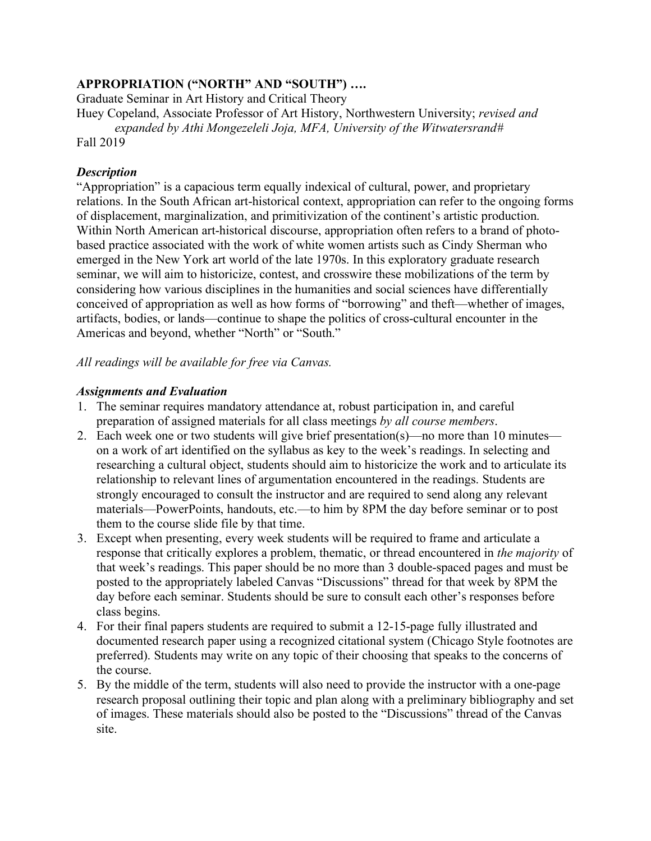# **APPROPRIATION ("NORTH" AND "SOUTH") ….**

Graduate Seminar in Art History and Critical Theory

Huey Copeland, Associate Professor of Art History, Northwestern University; *revised and expanded by Athi Mongezeleli Joja, MFA, University of the Witwatersrand#* Fall 2019

# *Description*

"Appropriation" is a capacious term equally indexical of cultural, power, and proprietary relations. In the South African art-historical context, appropriation can refer to the ongoing forms of displacement, marginalization, and primitivization of the continent's artistic production. Within North American art-historical discourse, appropriation often refers to a brand of photobased practice associated with the work of white women artists such as Cindy Sherman who emerged in the New York art world of the late 1970s. In this exploratory graduate research seminar, we will aim to historicize, contest, and crosswire these mobilizations of the term by considering how various disciplines in the humanities and social sciences have differentially conceived of appropriation as well as how forms of "borrowing" and theft—whether of images, artifacts, bodies, or lands—continue to shape the politics of cross-cultural encounter in the Americas and beyond, whether "North" or "South."

*All readings will be available for free via Canvas.*

# *Assignments and Evaluation*

- 1. The seminar requires mandatory attendance at, robust participation in, and careful preparation of assigned materials for all class meetings *by all course members*.
- 2. Each week one or two students will give brief presentation(s)—no more than 10 minutes on a work of art identified on the syllabus as key to the week's readings. In selecting and researching a cultural object, students should aim to historicize the work and to articulate its relationship to relevant lines of argumentation encountered in the readings. Students are strongly encouraged to consult the instructor and are required to send along any relevant materials—PowerPoints, handouts, etc.—to him by 8PM the day before seminar or to post them to the course slide file by that time.
- 3. Except when presenting, every week students will be required to frame and articulate a response that critically explores a problem, thematic, or thread encountered in *the majority* of that week's readings. This paper should be no more than 3 double-spaced pages and must be posted to the appropriately labeled Canvas "Discussions" thread for that week by 8PM the day before each seminar. Students should be sure to consult each other's responses before class begins.
- 4. For their final papers students are required to submit a 12-15-page fully illustrated and documented research paper using a recognized citational system (Chicago Style footnotes are preferred). Students may write on any topic of their choosing that speaks to the concerns of the course.
- 5. By the middle of the term, students will also need to provide the instructor with a one-page research proposal outlining their topic and plan along with a preliminary bibliography and set of images. These materials should also be posted to the "Discussions" thread of the Canvas site.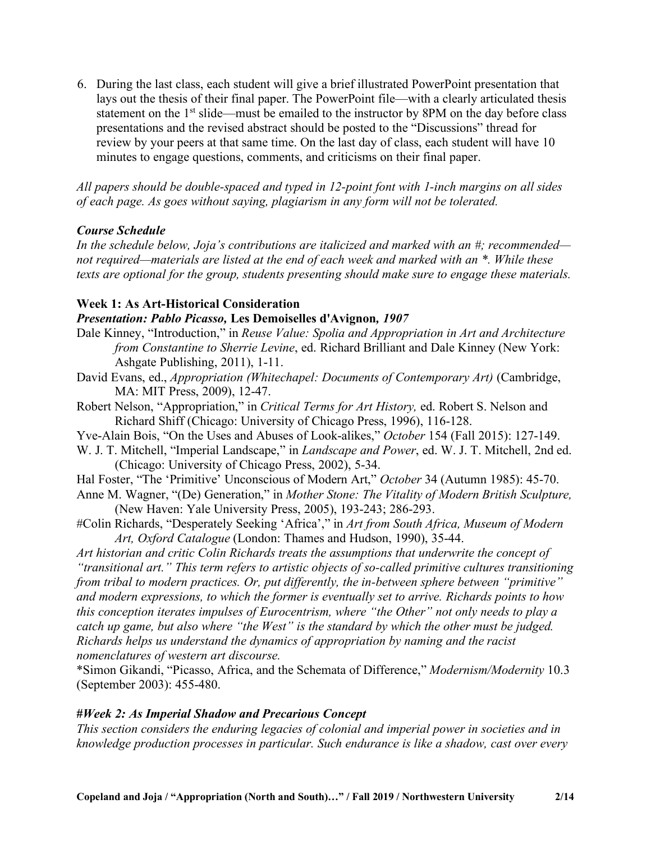6. During the last class, each student will give a brief illustrated PowerPoint presentation that lays out the thesis of their final paper. The PowerPoint file—with a clearly articulated thesis statement on the 1<sup>st</sup> slide—must be emailed to the instructor by 8PM on the day before class presentations and the revised abstract should be posted to the "Discussions" thread for review by your peers at that same time. On the last day of class, each student will have 10 minutes to engage questions, comments, and criticisms on their final paper.

*All papers should be double-spaced and typed in 12-point font with 1-inch margins on all sides of each page. As goes without saying, plagiarism in any form will not be tolerated.*

# *Course Schedule*

*In the schedule below, Joja's contributions are italicized and marked with an #; recommended not required—materials are listed at the end of each week and marked with an \*. While these texts are optional for the group, students presenting should make sure to engage these materials.*

# **Week 1: As Art-Historical Consideration**

## *Presentation: Pablo Picasso,* **Les Demoiselles d'Avignon***, 1907*

- Dale Kinney, "Introduction," in *Reuse Value: Spolia and Appropriation in Art and Architecture from Constantine to Sherrie Levine*, ed. Richard Brilliant and Dale Kinney (New York: Ashgate Publishing, 2011), 1-11.
- David Evans, ed., *Appropriation (Whitechapel: Documents of Contemporary Art)* (Cambridge, MA: MIT Press, 2009), 12-47.
- Robert Nelson, "Appropriation," in *Critical Terms for Art History,* ed. Robert S. Nelson and Richard Shiff (Chicago: University of Chicago Press, 1996), 116-128.
- Yve-Alain Bois, "On the Uses and Abuses of Look-alikes," *October* 154 (Fall 2015): 127-149.
- W. J. T. Mitchell, "Imperial Landscape," in *Landscape and Power*, ed. W. J. T. Mitchell, 2nd ed. (Chicago: University of Chicago Press, 2002), 5-34.
- Hal Foster, "The 'Primitive' Unconscious of Modern Art," *October* 34 (Autumn 1985): 45-70.
- Anne M. Wagner, "(De) Generation," in *Mother Stone: The Vitality of Modern British Sculpture,* (New Haven: Yale University Press, 2005), 193-243; 286-293.
- #Colin Richards, "Desperately Seeking 'Africa'," in *Art from South Africa, Museum of Modern Art, Oxford Catalogue* (London: Thames and Hudson, 1990), 35-44.

*Art historian and critic Colin Richards treats the assumptions that underwrite the concept of "transitional art." This term refers to artistic objects of so-called primitive cultures transitioning from tribal to modern practices. Or, put differently, the in-between sphere between "primitive" and modern expressions, to which the former is eventually set to arrive. Richards points to how this conception iterates impulses of Eurocentrism, where "the Other" not only needs to play a catch up game, but also where "the West" is the standard by which the other must be judged. Richards helps us understand the dynamics of appropriation by naming and the racist nomenclatures of western art discourse.*

\*Simon Gikandi, "Picasso, Africa, and the Schemata of Difference," *Modernism/Modernity* 10.3 (September 2003): 455-480.

## **#***Week 2: As Imperial Shadow and Precarious Concept*

*This section considers the enduring legacies of colonial and imperial power in societies and in knowledge production processes in particular. Such endurance is like a shadow, cast over every*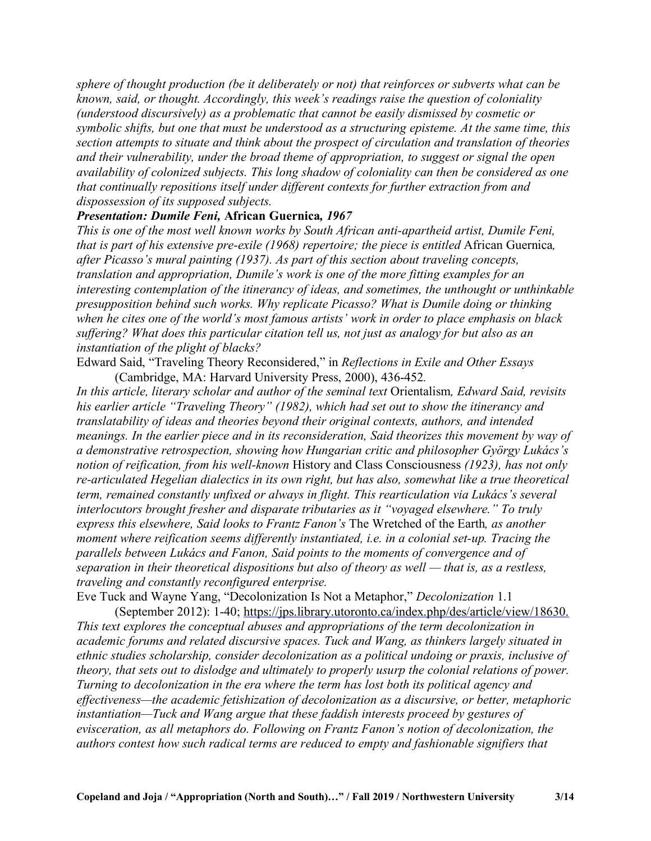*sphere of thought production (be it deliberately or not) that reinforces or subverts what can be known, said, or thought. Accordingly, this week's readings raise the question of coloniality (understood discursively) as a problematic that cannot be easily dismissed by cosmetic or symbolic shifts, but one that must be understood as a structuring episteme. At the same time, this section attempts to situate and think about the prospect of circulation and translation of theories and their vulnerability, under the broad theme of appropriation, to suggest or signal the open availability of colonized subjects. This long shadow of coloniality can then be considered as one that continually repositions itself under different contexts for further extraction from and dispossession of its supposed subjects.*

## *Presentation: Dumile Feni,* **African Guernica***, 1967*

*This is one of the most well known works by South African anti-apartheid artist, Dumile Feni, that is part of his extensive pre-exile (1968) repertoire; the piece is entitled* African Guernica*, after Picasso's mural painting (1937). As part of this section about traveling concepts, translation and appropriation, Dumile's work is one of the more fitting examples for an interesting contemplation of the itinerancy of ideas, and sometimes, the unthought or unthinkable presupposition behind such works. Why replicate Picasso? What is Dumile doing or thinking when he cites one of the world's most famous artists' work in order to place emphasis on black suffering? What does this particular citation tell us, not just as analogy for but also as an instantiation of the plight of blacks?*

Edward Said, "Traveling Theory Reconsidered," in *Reflections in Exile and Other Essays* (Cambridge, MA: Harvard University Press, 2000), 436-452*.*

*In this article, literary scholar and author of the seminal text* Orientalism*, Edward Said, revisits his earlier article "Traveling Theory" (1982), which had set out to show the itinerancy and translatability of ideas and theories beyond their original contexts, authors, and intended meanings. In the earlier piece and in its reconsideration, Said theorizes this movement by way of a demonstrative retrospection, showing how Hungarian critic and philosopher György Lukács's notion of reification, from his well-known* History and Class Consciousness *(1923), has not only re-articulated Hegelian dialectics in its own right, but has also, somewhat like a true theoretical term, remained constantly unfixed or always in flight. This rearticulation via Lukács's several interlocutors brought fresher and disparate tributaries as it "voyaged elsewhere." To truly express this elsewhere, Said looks to Frantz Fanon's* The Wretched of the Earth*, as another moment where reification seems differently instantiated, i.e. in a colonial set-up. Tracing the parallels between Lukács and Fanon, Said points to the moments of convergence and of separation in their theoretical dispositions but also of theory as well — that is, as a restless, traveling and constantly reconfigured enterprise.*

Eve Tuck and Wayne Yang, "Decolonization Is Not a Metaphor," *Decolonization* 1.1

(September 2012): 1-40; https://jps.library.utoronto.ca/index.php/des/article/view/18630. *This text explores the conceptual abuses and appropriations of the term decolonization in academic forums and related discursive spaces. Tuck and Wang, as thinkers largely situated in ethnic studies scholarship, consider decolonization as a political undoing or praxis, inclusive of theory, that sets out to dislodge and ultimately to properly usurp the colonial relations of power. Turning to decolonization in the era where the term has lost both its political agency and effectiveness—the academic fetishization of decolonization as a discursive, or better, metaphoric instantiation—Tuck and Wang argue that these faddish interests proceed by gestures of evisceration, as all metaphors do. Following on Frantz Fanon's notion of decolonization, the authors contest how such radical terms are reduced to empty and fashionable signifiers that*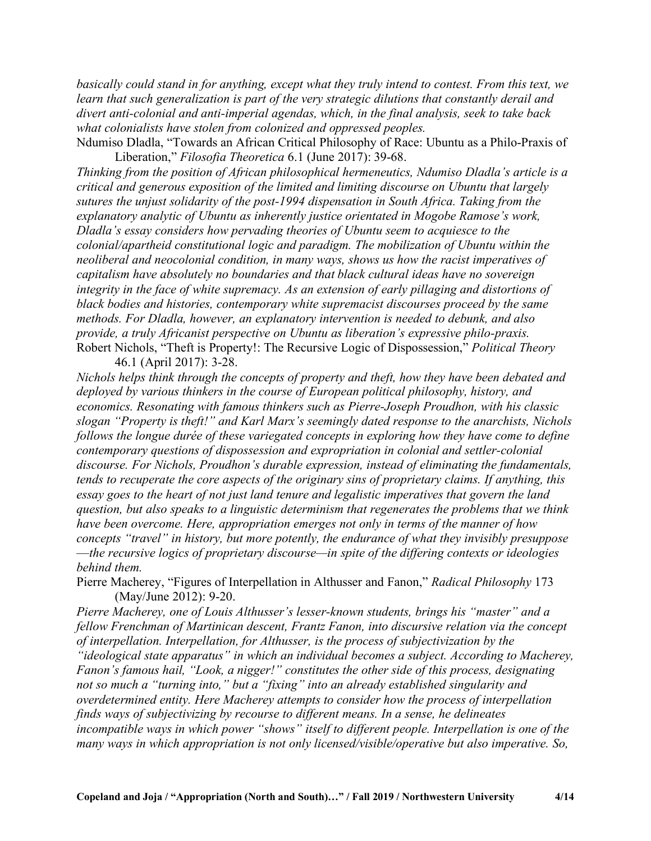*basically could stand in for anything, except what they truly intend to contest. From this text, we learn that such generalization is part of the very strategic dilutions that constantly derail and divert anti-colonial and anti-imperial agendas, which, in the final analysis, seek to take back what colonialists have stolen from colonized and oppressed peoples.*

Ndumiso Dladla, "Towards an African Critical Philosophy of Race: Ubuntu as a Philo-Praxis of Liberation," *Filosofia Theoretica* 6.1 (June 2017): 39-68.

*Thinking from the position of African philosophical hermeneutics, Ndumiso Dladla's article is a critical and generous exposition of the limited and limiting discourse on Ubuntu that largely sutures the unjust solidarity of the post-1994 dispensation in South Africa. Taking from the explanatory analytic of Ubuntu as inherently justice orientated in Mogobe Ramose's work, Dladla's essay considers how pervading theories of Ubuntu seem to acquiesce to the colonial/apartheid constitutional logic and paradigm. The mobilization of Ubuntu within the neoliberal and neocolonial condition, in many ways, shows us how the racist imperatives of capitalism have absolutely no boundaries and that black cultural ideas have no sovereign integrity in the face of white supremacy. As an extension of early pillaging and distortions of black bodies and histories, contemporary white supremacist discourses proceed by the same methods. For Dladla, however, an explanatory intervention is needed to debunk, and also provide, a truly Africanist perspective on Ubuntu as liberation's expressive philo-praxis.* Robert Nichols, "Theft is Property!: The Recursive Logic of Dispossession," *Political Theory* 46.1 (April 2017): 3-28.

*Nichols helps think through the concepts of property and theft, how they have been debated and deployed by various thinkers in the course of European political philosophy, history, and economics. Resonating with famous thinkers such as Pierre-Joseph Proudhon, with his classic slogan "Property is theft!" and Karl Marx's seemingly dated response to the anarchists, Nichols follows the longue durée of these variegated concepts in exploring how they have come to define contemporary questions of dispossession and expropriation in colonial and settler-colonial discourse. For Nichols, Proudhon's durable expression, instead of eliminating the fundamentals, tends to recuperate the core aspects of the originary sins of proprietary claims. If anything, this essay goes to the heart of not just land tenure and legalistic imperatives that govern the land question, but also speaks to a linguistic determinism that regenerates the problems that we think have been overcome. Here, appropriation emerges not only in terms of the manner of how concepts "travel" in history, but more potently, the endurance of what they invisibly presuppose* —*the recursive logics of proprietary discourse—in spite of the differing contexts or ideologies behind them.*

Pierre Macherey, "Figures of Interpellation in Althusser and Fanon," *Radical Philosophy* 173 (May/June 2012): 9-20.

*Pierre Macherey, one of Louis Althusser's lesser-known students, brings his "master" and a fellow Frenchman of Martinican descent, Frantz Fanon, into discursive relation via the concept of interpellation. Interpellation, for Althusser, is the process of subjectivization by the "ideological state apparatus" in which an individual becomes a subject. According to Macherey, Fanon's famous hail, "Look, a nigger!" constitutes the other side of this process, designating not so much a "turning into," but a "fixing" into an already established singularity and overdetermined entity. Here Macherey attempts to consider how the process of interpellation finds ways of subjectivizing by recourse to different means. In a sense, he delineates incompatible ways in which power "shows" itself to different people. Interpellation is one of the many ways in which appropriation is not only licensed/visible/operative but also imperative. So,*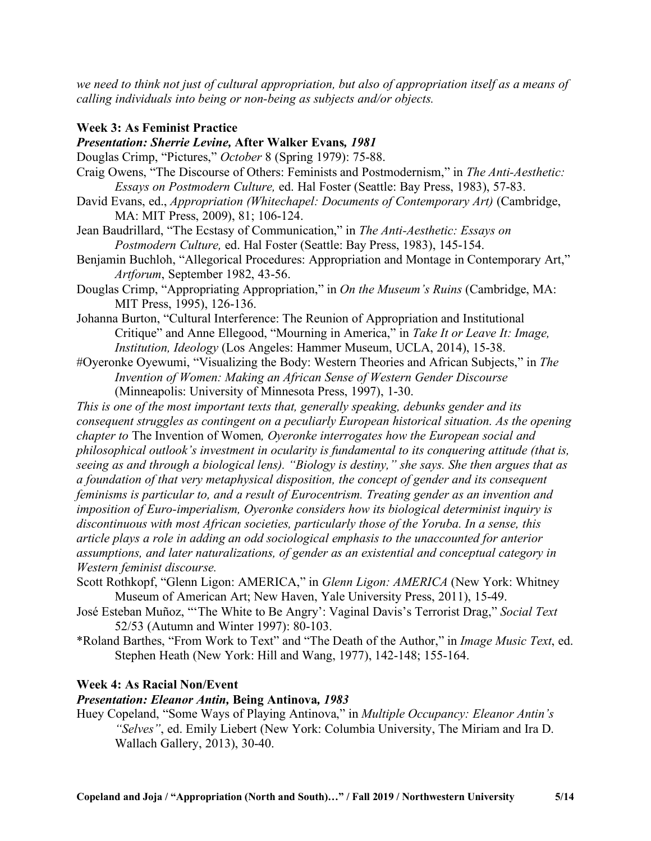we need to think not just of cultural appropriation, but also of appropriation itself as a means of *calling individuals into being or non-being as subjects and/or objects.*

### **Week 3: As Feminist Practice**

# *Presentation: Sherrie Levine,* **After Walker Evans***, 1981*

Douglas Crimp, "Pictures," *October* 8 (Spring 1979): 75-88.

- Craig Owens, "The Discourse of Others: Feminists and Postmodernism," in *The Anti-Aesthetic: Essays on Postmodern Culture,* ed. Hal Foster (Seattle: Bay Press, 1983), 57-83.
- David Evans, ed., *Appropriation (Whitechapel: Documents of Contemporary Art)* (Cambridge, MA: MIT Press, 2009), 81; 106-124.

Jean Baudrillard, "The Ecstasy of Communication," in *The Anti-Aesthetic: Essays on Postmodern Culture,* ed. Hal Foster (Seattle: Bay Press, 1983), 145-154.

Benjamin Buchloh, "Allegorical Procedures: Appropriation and Montage in Contemporary Art," *Artforum*, September 1982, 43-56.

Douglas Crimp, "Appropriating Appropriation," in *On the Museum's Ruins* (Cambridge, MA: MIT Press, 1995), 126-136.

- Johanna Burton, "Cultural Interference: The Reunion of Appropriation and Institutional Critique" and Anne Ellegood, "Mourning in America," in *Take It or Leave It: Image, Institution, Ideology* (Los Angeles: Hammer Museum, UCLA, 2014), 15-38.
- #Oyeronke Oyewumi, "Visualizing the Body: Western Theories and African Subjects," in *The Invention of Women: Making an African Sense of Western Gender Discourse* (Minneapolis: University of Minnesota Press, 1997), 1-30.
- *This is one of the most important texts that, generally speaking, debunks gender and its consequent struggles as contingent on a peculiarly European historical situation. As the opening chapter to* The Invention of Women*, Oyeronke interrogates how the European social and philosophical outlook's investment in ocularity is fundamental to its conquering attitude (that is, seeing as and through a biological lens). "Biology is destiny," she says. She then argues that as a foundation of that very metaphysical disposition, the concept of gender and its consequent feminisms is particular to, and a result of Eurocentrism. Treating gender as an invention and imposition of Euro-imperialism, Oyeronke considers how its biological determinist inquiry is discontinuous with most African societies, particularly those of the Yoruba. In a sense, this article plays a role in adding an odd sociological emphasis to the unaccounted for anterior assumptions, and later naturalizations, of gender as an existential and conceptual category in Western feminist discourse.*
- Scott Rothkopf, "Glenn Ligon: AMERICA," in *Glenn Ligon: AMERICA* (New York: Whitney Museum of American Art; New Haven, Yale University Press, 2011), 15-49.
- José Esteban Muñoz, "'The White to Be Angry': Vaginal Davis's Terrorist Drag," *Social Text* 52/53 (Autumn and Winter 1997): 80-103.
- \*Roland Barthes, "From Work to Text" and "The Death of the Author," in *Image Music Text*, ed. Stephen Heath (New York: Hill and Wang, 1977), 142-148; 155-164.

## **Week 4: As Racial Non/Event**

#### *Presentation: Eleanor Antin,* **Being Antinova***, 1983*

Huey Copeland, "Some Ways of Playing Antinova," in *Multiple Occupancy: Eleanor Antin's "Selves"*, ed. Emily Liebert (New York: Columbia University, The Miriam and Ira D. Wallach Gallery, 2013), 30-40.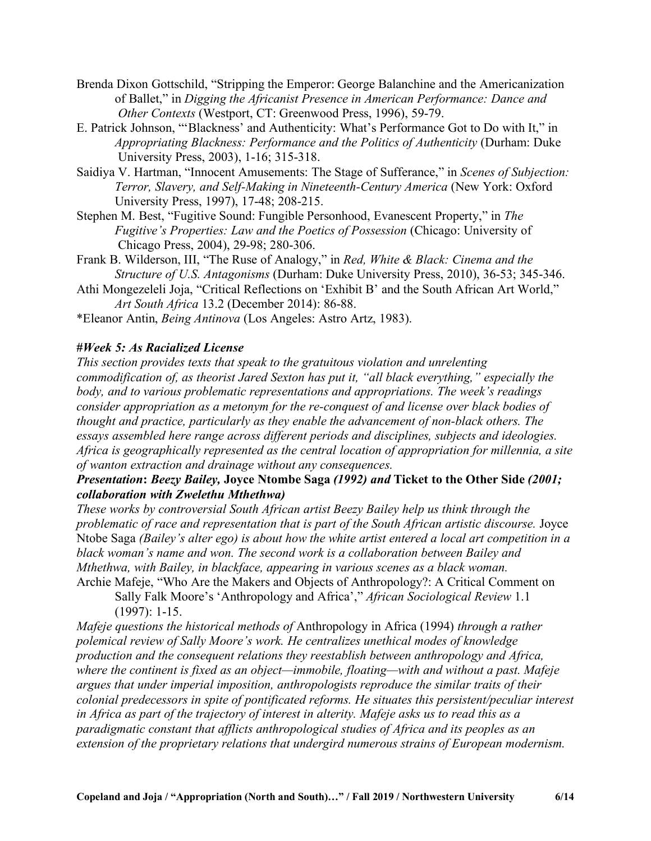- Brenda Dixon Gottschild, "Stripping the Emperor: George Balanchine and the Americanization of Ballet," in *Digging the Africanist Presence in American Performance: Dance and Other Contexts* (Westport, CT: Greenwood Press, 1996), 59-79.
- E. Patrick Johnson, "'Blackness' and Authenticity: What's Performance Got to Do with It," in *Appropriating Blackness: Performance and the Politics of Authenticity* (Durham: Duke University Press, 2003), 1-16; 315-318.
- Saidiya V. Hartman, "Innocent Amusements: The Stage of Sufferance," in *Scenes of Subjection: Terror, Slavery, and Self-Making in Nineteenth-Century America* (New York: Oxford University Press, 1997), 17-48; 208-215.
- Stephen M. Best, "Fugitive Sound: Fungible Personhood, Evanescent Property," in *The Fugitive's Properties: Law and the Poetics of Possession* (Chicago: University of Chicago Press, 2004), 29-98; 280-306.
- Frank B. Wilderson, III, "The Ruse of Analogy," in *Red, White & Black: Cinema and the Structure of U.S. Antagonisms* (Durham: Duke University Press, 2010), 36-53; 345-346.
- Athi Mongezeleli Joja, "Critical Reflections on 'Exhibit B' and the South African Art World," *Art South Africa* 13.2 (December 2014): 86-88.
- \*Eleanor Antin, *Being Antinova* (Los Angeles: Astro Artz, 1983).

## **#***Week 5: As Racialized License*

*This section provides texts that speak to the gratuitous violation and unrelenting commodification of, as theorist Jared Sexton has put it, "all black everything," especially the body, and to various problematic representations and appropriations. The week's readings consider appropriation as a metonym for the re-conquest of and license over black bodies of thought and practice, particularly as they enable the advancement of non-black others. The essays assembled here range across different periods and disciplines, subjects and ideologies. Africa is geographically represented as the central location of appropriation for millennia, a site of wanton extraction and drainage without any consequences.*

# *Presentation***:** *Beezy Bailey,* **Joyce Ntombe Saga** *(1992) and* **Ticket to the Other Side** *(2001; collaboration with Zwelethu Mthethwa)*

*These works by controversial South African artist Beezy Bailey help us think through the problematic of race and representation that is part of the South African artistic discourse.* Joyce Ntobe Saga *(Bailey's alter ego) is about how the white artist entered a local art competition in a black woman's name and won. The second work is a collaboration between Bailey and Mthethwa, with Bailey, in blackface, appearing in various scenes as a black woman.* Archie Mafeje, "Who Are the Makers and Objects of Anthropology?: A Critical Comment on

Sally Falk Moore's 'Anthropology and Africa'," *African Sociological Review* 1.1 (1997): 1-15.

*Mafeje questions the historical methods of* Anthropology in Africa (1994) *through a rather polemical review of Sally Moore's work. He centralizes unethical modes of knowledge production and the consequent relations they reestablish between anthropology and Africa, where the continent is fixed as an object—immobile, floating—with and without a past. Mafeje argues that under imperial imposition, anthropologists reproduce the similar traits of their colonial predecessors in spite of pontificated reforms. He situates this persistent/peculiar interest* in Africa as part of the trajectory of interest in alterity. Mafeje asks us to read this as a *paradigmatic constant that afflicts anthropological studies of Africa and its peoples as an extension of the proprietary relations that undergird numerous strains of European modernism.*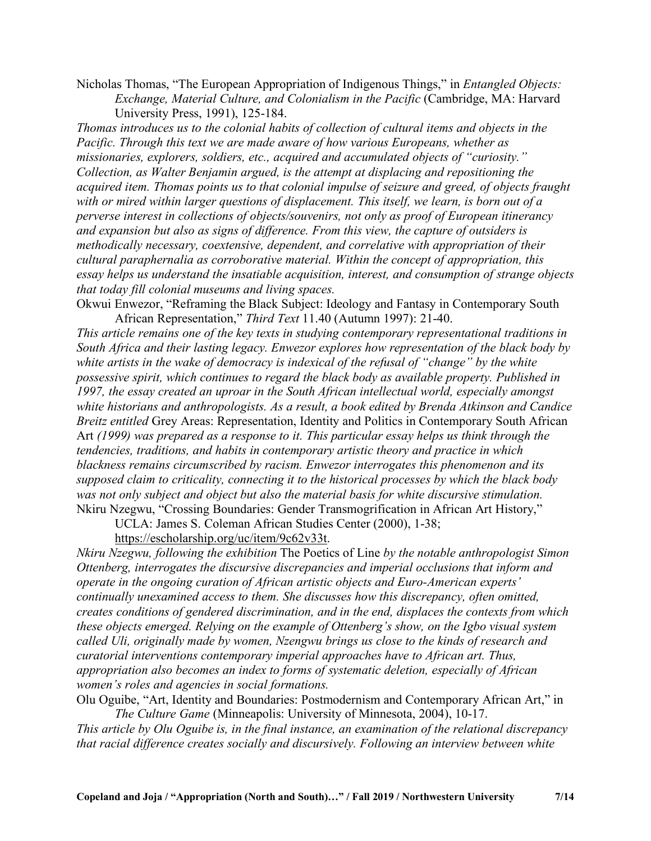Nicholas Thomas, "The European Appropriation of Indigenous Things," in *Entangled Objects: Exchange, Material Culture, and Colonialism in the Pacific* (Cambridge, MA: Harvard University Press, 1991), 125-184.

*Thomas introduces us to the colonial habits of collection of cultural items and objects in the Pacific. Through this text we are made aware of how various Europeans, whether as missionaries, explorers, soldiers, etc., acquired and accumulated objects of "curiosity." Collection, as Walter Benjamin argued, is the attempt at displacing and repositioning the acquired item. Thomas points us to that colonial impulse of seizure and greed, of objects fraught with or mired within larger questions of displacement. This itself, we learn, is born out of a perverse interest in collections of objects/souvenirs, not only as proof of European itinerancy and expansion but also as signs of difference. From this view, the capture of outsiders is methodically necessary, coextensive, dependent, and correlative with appropriation of their cultural paraphernalia as corroborative material. Within the concept of appropriation, this essay helps us understand the insatiable acquisition, interest, and consumption of strange objects that today fill colonial museums and living spaces.*

Okwui Enwezor, "Reframing the Black Subject: Ideology and Fantasy in Contemporary South African Representation," *Third Text* 11.40 (Autumn 1997): 21-40.

*This article remains one of the key texts in studying contemporary representational traditions in South Africa and their lasting legacy. Enwezor explores how representation of the black body by white artists in the wake of democracy is indexical of the refusal of "change" by the white possessive spirit, which continues to regard the black body as available property. Published in 1997, the essay created an uproar in the South African intellectual world, especially amongst white historians and anthropologists. As a result, a book edited by Brenda Atkinson and Candice Breitz entitled* Grey Areas: Representation, Identity and Politics in Contemporary South African Art *(1999) was prepared as a response to it. This particular essay helps us think through the tendencies, traditions, and habits in contemporary artistic theory and practice in which blackness remains circumscribed by racism. Enwezor interrogates this phenomenon and its supposed claim to criticality, connecting it to the historical processes by which the black body was not only subject and object but also the material basis for white discursive stimulation.* Nkiru Nzegwu, "Crossing Boundaries: Gender Transmogrification in African Art History,"

UCLA: James S. Coleman African Studies Center (2000), 1-38;

https://escholarship.org/uc/item/9c62v33t.

*Nkiru Nzegwu, following the exhibition* The Poetics of Line *by the notable anthropologist Simon Ottenberg, interrogates the discursive discrepancies and imperial occlusions that inform and operate in the ongoing curation of African artistic objects and Euro-American experts' continually unexamined access to them. She discusses how this discrepancy, often omitted, creates conditions of gendered discrimination, and in the end, displaces the contexts from which these objects emerged. Relying on the example of Ottenberg's show, on the Igbo visual system called Uli, originally made by women, Nzengwu brings us close to the kinds of research and curatorial interventions contemporary imperial approaches have to African art. Thus, appropriation also becomes an index to forms of systematic deletion, especially of African women's roles and agencies in social formations.*

Olu Oguibe, "Art, Identity and Boundaries: Postmodernism and Contemporary African Art," in *The Culture Game* (Minneapolis: University of Minnesota, 2004), 10-17.

*This article by Olu Oguibe is, in the final instance, an examination of the relational discrepancy that racial difference creates socially and discursively. Following an interview between white*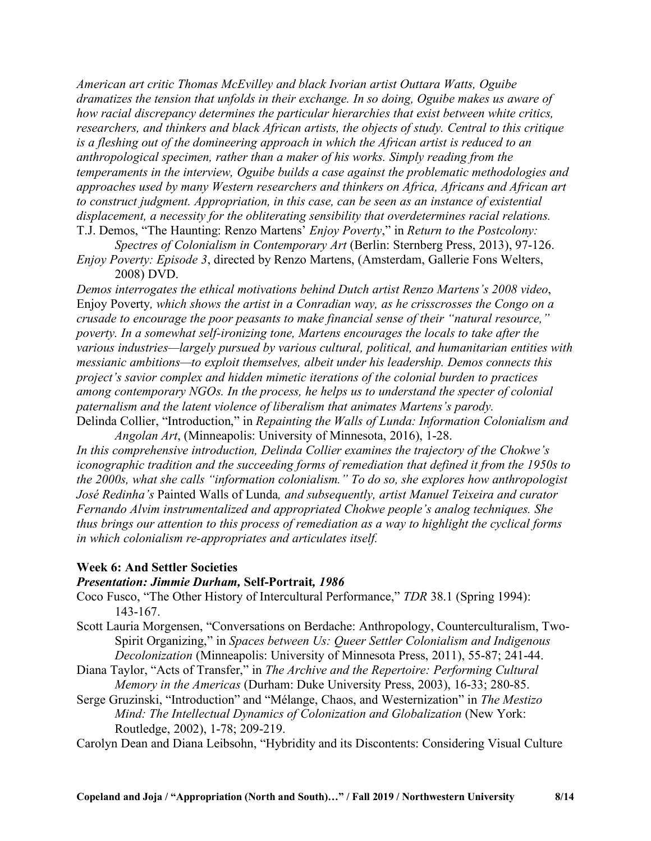*American art critic Thomas McEvilley and black Ivorian artist Outtara Watts, Oguibe dramatizes the tension that unfolds in their exchange. In so doing, Oguibe makes us aware of how racial discrepancy determines the particular hierarchies that exist between white critics, researchers, and thinkers and black African artists, the objects of study. Central to this critique is a fleshing out of the domineering approach in which the African artist is reduced to an anthropological specimen, rather than a maker of his works. Simply reading from the temperaments in the interview, Oguibe builds a case against the problematic methodologies and approaches used by many Western researchers and thinkers on Africa, Africans and African art to construct judgment. Appropriation, in this case, can be seen as an instance of existential displacement, a necessity for the obliterating sensibility that overdetermines racial relations.* T.J. Demos, "The Haunting: Renzo Martens' *Enjoy Poverty*," in *Return to the Postcolony:*

*Spectres of Colonialism in Contemporary Art* (Berlin: Sternberg Press, 2013), 97-126. *Enjoy Poverty: Episode 3*, directed by Renzo Martens, (Amsterdam, Gallerie Fons Welters,

2008) DVD.

*Demos interrogates the ethical motivations behind Dutch artist Renzo Martens's 2008 video*, Enjoy Poverty*, which shows the artist in a Conradian way, as he crisscrosses the Congo on a crusade to encourage the poor peasants to make financial sense of their "natural resource," poverty. In a somewhat self-ironizing tone, Martens encourages the locals to take after the various industries—largely pursued by various cultural, political, and humanitarian entities with messianic ambitions—to exploit themselves, albeit under his leadership. Demos connects this project's savior complex and hidden mimetic iterations of the colonial burden to practices among contemporary NGOs. In the process, he helps us to understand the specter of colonial paternalism and the latent violence of liberalism that animates Martens's parody.* Delinda Collier, "Introduction," in *Repainting the Walls of Lunda: Information Colonialism and*

*Angolan Art*, (Minneapolis: University of Minnesota, 2016), 1-28. *In this comprehensive introduction, Delinda Collier examines the trajectory of the Chokwe's iconographic tradition and the succeeding forms of remediation that defined it from the 1950s to the 2000s, what she calls "information colonialism." To do so, she explores how anthropologist José Redinha's* Painted Walls of Lunda*, and subsequently, artist Manuel Teixeira and curator Fernando Alvim instrumentalized and appropriated Chokwe people's analog techniques. She thus brings our attention to this process of remediation as a way to highlight the cyclical forms in which colonialism re-appropriates and articulates itself.*

#### **Week 6: And Settler Societies**

#### *Presentation: Jimmie Durham,* **Self-Portrait***, 1986*

Coco Fusco, "The Other History of Intercultural Performance," *TDR* 38.1 (Spring 1994): 143-167.

- Scott Lauria Morgensen, "Conversations on Berdache: Anthropology, Counterculturalism, Two-Spirit Organizing," in *Spaces between Us: Queer Settler Colonialism and Indigenous Decolonization* (Minneapolis: University of Minnesota Press, 2011), 55-87; 241-44.
- Diana Taylor, "Acts of Transfer," in *The Archive and the Repertoire: Performing Cultural Memory in the Americas* (Durham: Duke University Press, 2003), 16-33; 280-85.
- Serge Gruzinski, "Introduction" and "Mélange, Chaos, and Westernization" in *The Mestizo Mind: The Intellectual Dynamics of Colonization and Globalization* (New York: Routledge, 2002), 1-78; 209-219.

Carolyn Dean and Diana Leibsohn, "Hybridity and its Discontents: Considering Visual Culture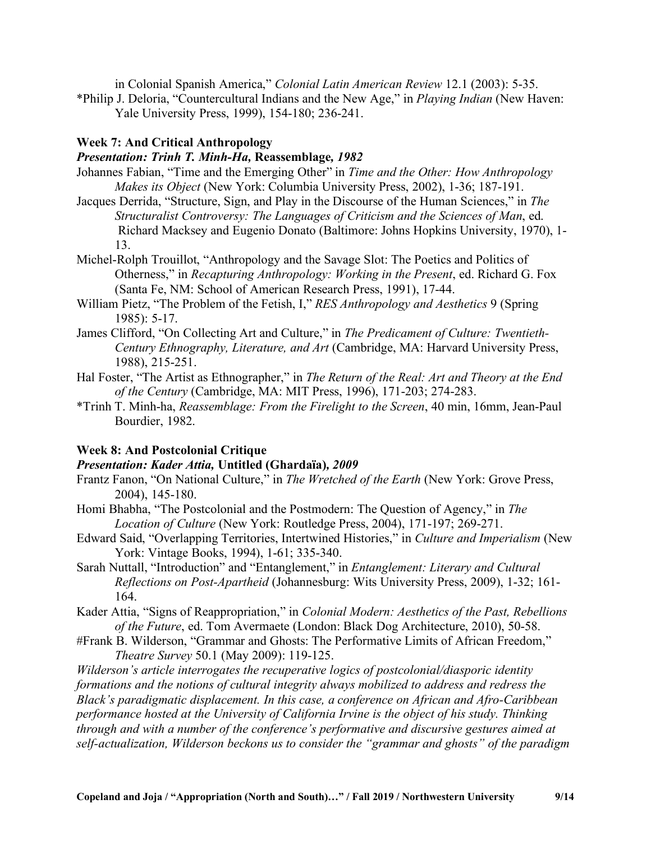in Colonial Spanish America," *Colonial Latin American Review* 12.1 (2003): 5-35.

\*Philip J. Deloria, "Countercultural Indians and the New Age," in *Playing Indian* (New Haven: Yale University Press, 1999), 154-180; 236-241.

## **Week 7: And Critical Anthropology**

## *Presentation: Trinh T. Minh-Ha,* **Reassemblage***, 1982*

- Johannes Fabian, "Time and the Emerging Other" in *Time and the Other: How Anthropology Makes its Object* (New York: Columbia University Press, 2002), 1-36; 187-191.
- Jacques Derrida, "Structure, Sign, and Play in the Discourse of the Human Sciences," in *The Structuralist Controversy: The Languages of Criticism and the Sciences of Man*, ed. Richard Macksey and Eugenio Donato (Baltimore: Johns Hopkins University, 1970), 1- 13.
- Michel-Rolph Trouillot, "Anthropology and the Savage Slot: The Poetics and Politics of Otherness," in *Recapturing Anthropology: Working in the Present*, ed. Richard G. Fox (Santa Fe, NM: School of American Research Press, 1991), 17-44.
- William Pietz, "The Problem of the Fetish, I," *RES Anthropology and Aesthetics* 9 (Spring 1985): 5-17.
- James Clifford, "On Collecting Art and Culture," in *The Predicament of Culture: Twentieth-Century Ethnography, Literature, and Art* (Cambridge, MA: Harvard University Press, 1988), 215-251.
- Hal Foster, "The Artist as Ethnographer," in *The Return of the Real: Art and Theory at the End of the Century* (Cambridge, MA: MIT Press, 1996), 171-203; 274-283.
- \*Trinh T. Minh-ha, *Reassemblage: From the Firelight to the Screen*, 40 min, 16mm, Jean-Paul Bourdier, 1982.

## **Week 8: And Postcolonial Critique**

## *Presentation: Kader Attia,* **Untitled (Ghardaïa)***, 2009*

- Frantz Fanon, "On National Culture," in *The Wretched of the Earth* (New York: Grove Press, 2004), 145-180.
- Homi Bhabha, "The Postcolonial and the Postmodern: The Question of Agency," in *The Location of Culture* (New York: Routledge Press, 2004), 171-197; 269-271.
- Edward Said, "Overlapping Territories, Intertwined Histories," in *Culture and Imperialism* (New York: Vintage Books, 1994), 1-61; 335-340.
- Sarah Nuttall, "Introduction" and "Entanglement," in *Entanglement: Literary and Cultural Reflections on Post-Apartheid* (Johannesburg: Wits University Press, 2009), 1-32; 161- 164.
- Kader Attia, "Signs of Reappropriation," in *Colonial Modern: Aesthetics of the Past, Rebellions of the Future*, ed. Tom Avermaete (London: Black Dog Architecture, 2010), 50-58.
- #Frank B. Wilderson, "Grammar and Ghosts: The Performative Limits of African Freedom," *Theatre Survey* 50.1 (May 2009): 119-125.

*Wilderson's article interrogates the recuperative logics of postcolonial/diasporic identity formations and the notions of cultural integrity always mobilized to address and redress the Black's paradigmatic displacement. In this case, a conference on African and Afro-Caribbean performance hosted at the University of California Irvine is the object of his study. Thinking through and with a number of the conference's performative and discursive gestures aimed at self-actualization, Wilderson beckons us to consider the "grammar and ghosts" of the paradigm*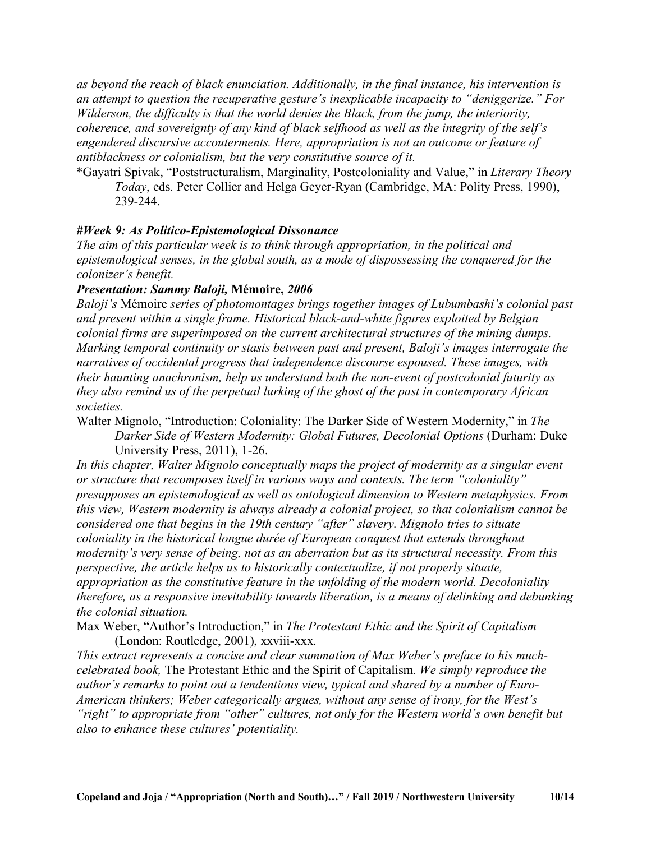*as beyond the reach of black enunciation. Additionally, in the final instance, his intervention is an attempt to question the recuperative gesture's inexplicable incapacity to "deniggerize." For Wilderson, the difficulty is that the world denies the Black, from the jump, the interiority, coherence, and sovereignty of any kind of black selfhood as well as the integrity of the self's engendered discursive accouterments. Here, appropriation is not an outcome or feature of antiblackness or colonialism, but the very constitutive source of it.*

\*Gayatri Spivak, "Poststructuralism, Marginality, Postcoloniality and Value," in *Literary Theory Today*, eds. Peter Collier and Helga Geyer-Ryan (Cambridge, MA: Polity Press, 1990), 239-244.

## *#Week 9: As Politico-Epistemological Dissonance*

*The aim of this particular week is to think through appropriation, in the political and epistemological senses, in the global south, as a mode of dispossessing the conquered for the colonizer's benefit.*

## *Presentation: Sammy Baloji,* **Mémoire,** *2006*

*Baloji's* Mémoire *series of photomontages brings together images of Lubumbashi's colonial past and present within a single frame. Historical black-and-white figures exploited by Belgian colonial firms are superimposed on the current architectural structures of the mining dumps. Marking temporal continuity or stasis between past and present, Baloji's images interrogate the narratives of occidental progress that independence discourse espoused. These images, with their haunting anachronism, help us understand both the non-event of postcolonial futurity as they also remind us of the perpetual lurking of the ghost of the past in contemporary African societies.*

Walter Mignolo, "Introduction: Coloniality: The Darker Side of Western Modernity," in *The Darker Side of Western Modernity: Global Futures, Decolonial Options* (Durham: Duke University Press, 2011), 1-26.

*In this chapter, Walter Mignolo conceptually maps the project of modernity as a singular event or structure that recomposes itself in various ways and contexts. The term "coloniality" presupposes an epistemological as well as ontological dimension to Western metaphysics. From this view, Western modernity is always already a colonial project, so that colonialism cannot be considered one that begins in the 19th century "after" slavery. Mignolo tries to situate coloniality in the historical longue durée of European conquest that extends throughout modernity's very sense of being, not as an aberration but as its structural necessity. From this perspective, the article helps us to historically contextualize, if not properly situate, appropriation as the constitutive feature in the unfolding of the modern world. Decoloniality therefore, as a responsive inevitability towards liberation, is a means of delinking and debunking the colonial situation.*

Max Weber, "Author's Introduction," in *The Protestant Ethic and the Spirit of Capitalism* (London: Routledge, 2001), xxviii-xxx.

*This extract represents a concise and clear summation of Max Weber's preface to his muchcelebrated book,* The Protestant Ethic and the Spirit of Capitalism*. We simply reproduce the author's remarks to point out a tendentious view, typical and shared by a number of Euro-American thinkers; Weber categorically argues, without any sense of irony, for the West's "right" to appropriate from "other" cultures, not only for the Western world's own benefit but also to enhance these cultures' potentiality.*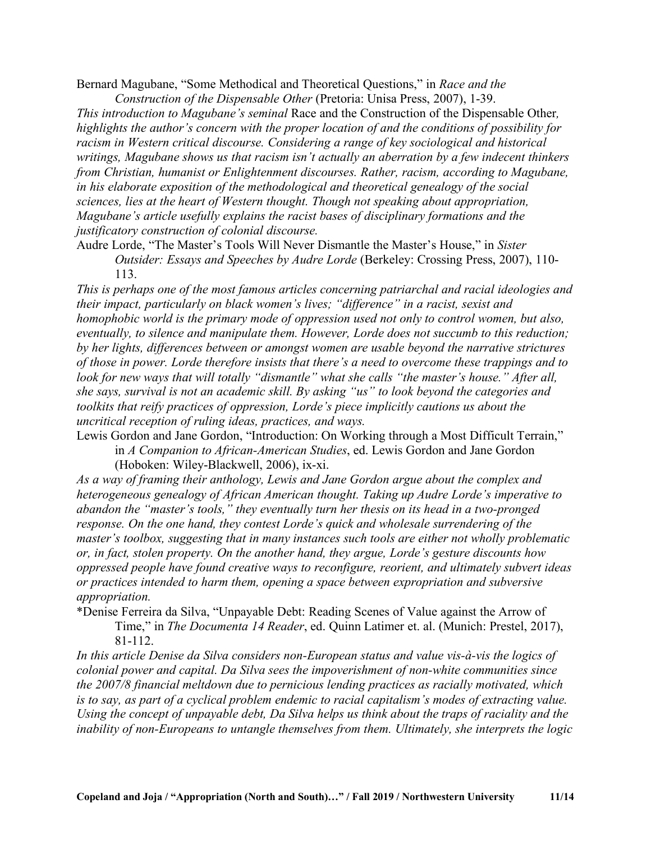Bernard Magubane, "Some Methodical and Theoretical Questions," in *Race and the Construction of the Dispensable Other* (Pretoria: Unisa Press, 2007), 1-39.

*This introduction to Magubane's seminal* Race and the Construction of the Dispensable Other*, highlights the author's concern with the proper location of and the conditions of possibility for racism in Western critical discourse. Considering a range of key sociological and historical writings, Magubane shows us that racism isn't actually an aberration by a few indecent thinkers from Christian, humanist or Enlightenment discourses. Rather, racism, according to Magubane, in his elaborate exposition of the methodological and theoretical genealogy of the social sciences, lies at the heart of Western thought. Though not speaking about appropriation, Magubane's article usefully explains the racist bases of disciplinary formations and the justificatory construction of colonial discourse.*

Audre Lorde, "The Master's Tools Will Never Dismantle the Master's House," in *Sister Outsider: Essays and Speeches by Audre Lorde* (Berkeley: Crossing Press, 2007), 110- 113.

*This is perhaps one of the most famous articles concerning patriarchal and racial ideologies and their impact, particularly on black women's lives; "difference" in a racist, sexist and homophobic world is the primary mode of oppression used not only to control women, but also, eventually, to silence and manipulate them. However, Lorde does not succumb to this reduction; by her lights, differences between or amongst women are usable beyond the narrative strictures of those in power. Lorde therefore insists that there's a need to overcome these trappings and to look for new ways that will totally "dismantle" what she calls "the master's house." After all, she says, survival is not an academic skill. By asking "us" to look beyond the categories and toolkits that reify practices of oppression, Lorde's piece implicitly cautions us about the uncritical reception of ruling ideas, practices, and ways.*

Lewis Gordon and Jane Gordon, "Introduction: On Working through a Most Difficult Terrain," in *A Companion to African-American Studies*, ed. Lewis Gordon and Jane Gordon

(Hoboken: Wiley-Blackwell, 2006), ix-xi.

*As a way of framing their anthology, Lewis and Jane Gordon argue about the complex and heterogeneous genealogy of African American thought. Taking up Audre Lorde's imperative to abandon the "master's tools," they eventually turn her thesis on its head in a two-pronged response. On the one hand, they contest Lorde's quick and wholesale surrendering of the master's toolbox, suggesting that in many instances such tools are either not wholly problematic or, in fact, stolen property. On the another hand, they argue, Lorde's gesture discounts how oppressed people have found creative ways to reconfigure, reorient, and ultimately subvert ideas or practices intended to harm them, opening a space between expropriation and subversive appropriation.*

\*Denise Ferreira da Silva, "Unpayable Debt: Reading Scenes of Value against the Arrow of

Time," in *The Documenta 14 Reader*, ed. Quinn Latimer et. al. (Munich: Prestel, 2017), 81-112.

*In this article Denise da Silva considers non-European status and value vis-à-vis the logics of colonial power and capital. Da Silva sees the impoverishment of non-white communities since the 2007/8 financial meltdown due to pernicious lending practices as racially motivated, which is to say, as part of a cyclical problem endemic to racial capitalism's modes of extracting value. Using the concept of unpayable debt, Da Silva helps us think about the traps of raciality and the inability of non-Europeans to untangle themselves from them. Ultimately, she interprets the logic*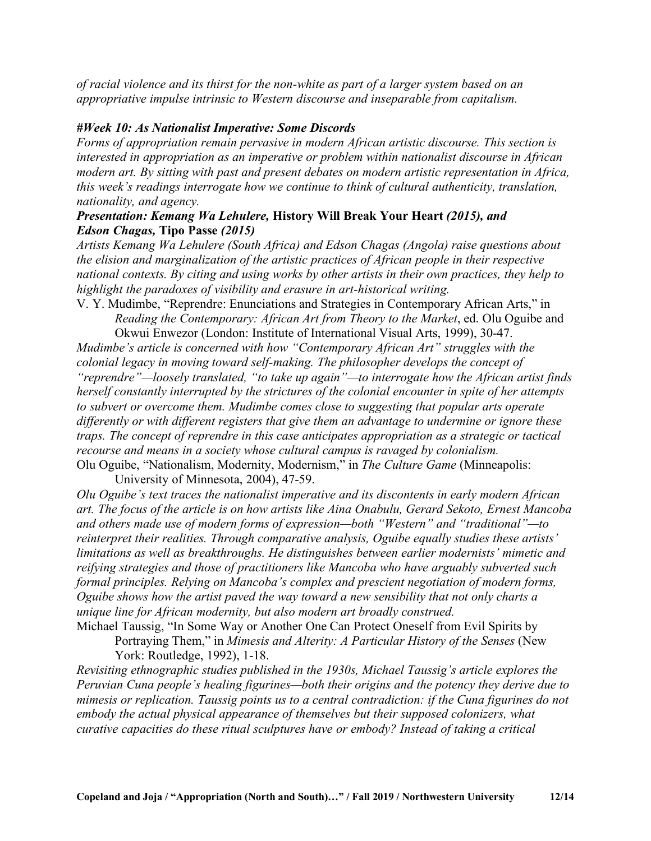*of racial violence and its thirst for the non-white as part of a larger system based on an appropriative impulse intrinsic to Western discourse and inseparable from capitalism.*

# *#Week 10: As Nationalist Imperative: Some Discords*

*Forms of appropriation remain pervasive in modern African artistic discourse. This section is interested in appropriation as an imperative or problem within nationalist discourse in African modern art. By sitting with past and present debates on modern artistic representation in Africa, this week's readings interrogate how we continue to think of cultural authenticity, translation, nationality, and agency.*

# *Presentation: Kemang Wa Lehulere,* **History Will Break Your Heart** *(2015), and Edson Chagas,* **Tipo Passe** *(2015)*

*Artists Kemang Wa Lehulere (South Africa) and Edson Chagas (Angola) raise questions about the elision and marginalization of the artistic practices of African people in their respective national contexts. By citing and using works by other artists in their own practices, they help to highlight the paradoxes of visibility and erasure in art-historical writing.*

V. Y. Mudimbe, "Reprendre: Enunciations and Strategies in Contemporary African Arts," in *Reading the Contemporary: African Art from Theory to the Market*, ed. Olu Oguibe and Okwui Enwezor (London: Institute of International Visual Arts, 1999), 30-47.

*Mudimbe's article is concerned with how "Contemporary African Art" struggles with the colonial legacy in moving toward self-making. The philosopher develops the concept of "reprendre"—loosely translated, "to take up again"—to interrogate how the African artist finds herself constantly interrupted by the strictures of the colonial encounter in spite of her attempts to subvert or overcome them. Mudimbe comes close to suggesting that popular arts operate differently or with different registers that give them an advantage to undermine or ignore these traps. The concept of reprendre in this case anticipates appropriation as a strategic or tactical recourse and means in a society whose cultural campus is ravaged by colonialism.* Olu Oguibe, "Nationalism, Modernity, Modernism," in *The Culture Game* (Minneapolis:

University of Minnesota, 2004), 47-59.

*Olu Oguibe's text traces the nationalist imperative and its discontents in early modern African art. The focus of the article is on how artists like Aina Onabulu, Gerard Sekoto, Ernest Mancoba and others made use of modern forms of expression—both "Western" and "traditional"—to reinterpret their realities. Through comparative analysis, Oguibe equally studies these artists' limitations as well as breakthroughs. He distinguishes between earlier modernists' mimetic and reifying strategies and those of practitioners like Mancoba who have arguably subverted such formal principles. Relying on Mancoba's complex and prescient negotiation of modern forms, Oguibe shows how the artist paved the way toward a new sensibility that not only charts a unique line for African modernity, but also modern art broadly construed.*

Michael Taussig, "In Some Way or Another One Can Protect Oneself from Evil Spirits by Portraying Them," in *Mimesis and Alterity: A Particular History of the Senses* (New

York: Routledge, 1992), 1-18.

*Revisiting ethnographic studies published in the 1930s, Michael Taussig's article explores the Peruvian Cuna people's healing figurines—both their origins and the potency they derive due to mimesis or replication. Taussig points us to a central contradiction: if the Cuna figurines do not embody the actual physical appearance of themselves but their supposed colonizers, what curative capacities do these ritual sculptures have or embody? Instead of taking a critical*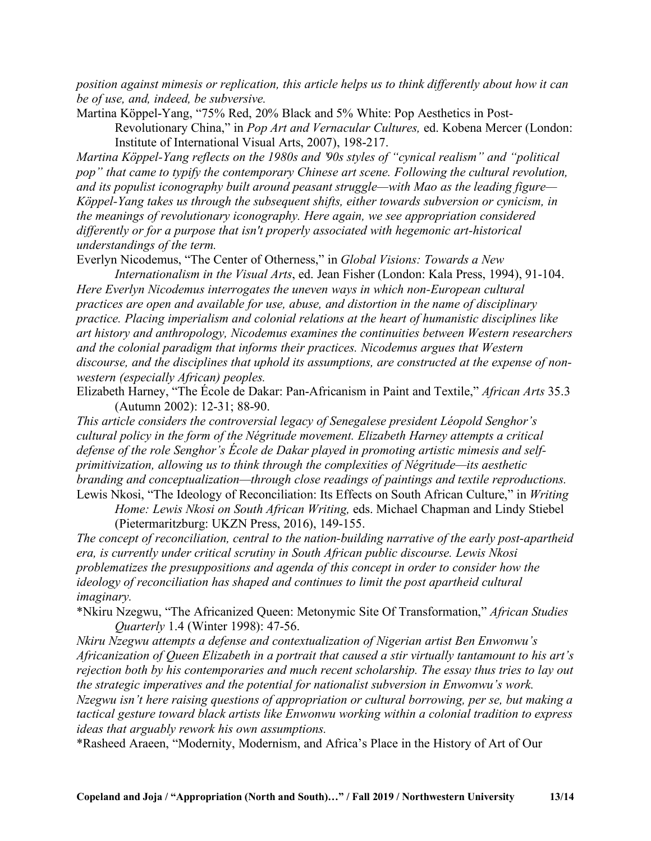*position against mimesis or replication, this article helps us to think differently about how it can be of use, and, indeed, be subversive.*

Martina Köppel-Yang, "75% Red, 20% Black and 5% White: Pop Aesthetics in Post-

Revolutionary China," in *Pop Art and Vernacular Cultures,* ed. Kobena Mercer (London: Institute of International Visual Arts, 2007), 198-217.

*Martina Köppel-Yang reflects on the 1980s and '90s styles of "cynical realism" and "political pop" that came to typify the contemporary Chinese art scene. Following the cultural revolution, and its populist iconography built around peasant struggle—with Mao as the leading figure— Köppel-Yang takes us through the subsequent shifts, either towards subversion or cynicism, in the meanings of revolutionary iconography. Here again, we see appropriation considered differently or for a purpose that isn't properly associated with hegemonic art-historical understandings of the term.*

Everlyn Nicodemus, "The Center of Otherness," in *Global Visions: Towards a New*

*Internationalism in the Visual Arts*, ed. Jean Fisher (London: Kala Press, 1994), 91-104. *Here Everlyn Nicodemus interrogates the uneven ways in which non-European cultural practices are open and available for use, abuse, and distortion in the name of disciplinary practice. Placing imperialism and colonial relations at the heart of humanistic disciplines like art history and anthropology, Nicodemus examines the continuities between Western researchers and the colonial paradigm that informs their practices. Nicodemus argues that Western discourse, and the disciplines that uphold its assumptions, are constructed at the expense of nonwestern (especially African) peoples.*

Elizabeth Harney, "The École de Dakar: Pan-Africanism in Paint and Textile," *African Arts* 35.3 (Autumn 2002): 12-31; 88-90.

*This article considers the controversial legacy of Senegalese president Léopold Senghor's cultural policy in the form of the Négritude movement. Elizabeth Harney attempts a critical defense of the role Senghor's École de Dakar played in promoting artistic mimesis and selfprimitivization, allowing us to think through the complexities of Négritude—its aesthetic branding and conceptualization—through close readings of paintings and textile reproductions.* Lewis Nkosi, "The Ideology of Reconciliation: Its Effects on South African Culture," in *Writing*

*Home: Lewis Nkosi on South African Writing,* eds. Michael Chapman and Lindy Stiebel (Pietermaritzburg: UKZN Press, 2016), 149-155.

*The concept of reconciliation, central to the nation-building narrative of the early post-apartheid era, is currently under critical scrutiny in South African public discourse. Lewis Nkosi problematizes the presuppositions and agenda of this concept in order to consider how the ideology of reconciliation has shaped and continues to limit the post apartheid cultural imaginary.*

\*Nkiru Nzegwu, "The Africanized Queen: Metonymic Site Of Transformation," *African Studies Quarterly* 1.4 (Winter 1998): 47-56.

*Nkiru Nzegwu attempts a defense and contextualization of Nigerian artist Ben Enwonwu's Africanization of Queen Elizabeth in a portrait that caused a stir virtually tantamount to his art's rejection both by his contemporaries and much recent scholarship. The essay thus tries to lay out the strategic imperatives and the potential for nationalist subversion in Enwonwu's work. Nzegwu isn't here raising questions of appropriation or cultural borrowing, per se, but making a*

*tactical gesture toward black artists like Enwonwu working within a colonial tradition to express ideas that arguably rework his own assumptions.*

\*Rasheed Araeen, "Modernity, Modernism, and Africa's Place in the History of Art of Our